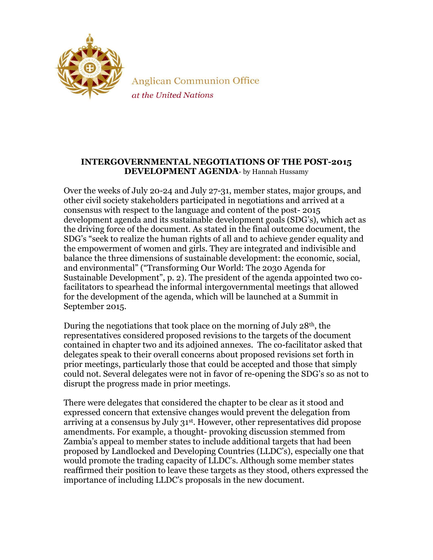

**Anglican Communion Office** at the United Nations

## **INTERGOVERNMENTAL NEGOTIATIONS OF THE POST-2015 DEVELOPMENT AGENDA**- by Hannah Hussamy

Over the weeks of July 20-24 and July 27-31, member states, major groups, and other civil society stakeholders participated in negotiations and arrived at a consensus with respect to the language and content of the post- 2015 development agenda and its sustainable development goals (SDG's), which act as the driving force of the document. As stated in the final outcome document, the SDG's "seek to realize the human rights of all and to achieve gender equality and the empowerment of women and girls. They are integrated and indivisible and balance the three dimensions of sustainable development: the economic, social, and environmental" ("Transforming Our World: The 2030 Agenda for Sustainable Development", p. 2). The president of the agenda appointed two cofacilitators to spearhead the informal intergovernmental meetings that allowed for the development of the agenda, which will be launched at a Summit in September 2015.

During the negotiations that took place on the morning of July  $28<sup>th</sup>$ , the representatives considered proposed revisions to the targets of the document contained in chapter two and its adjoined annexes. The co-facilitator asked that delegates speak to their overall concerns about proposed revisions set forth in prior meetings, particularly those that could be accepted and those that simply could not. Several delegates were not in favor of re-opening the SDG's so as not to disrupt the progress made in prior meetings.

There were delegates that considered the chapter to be clear as it stood and expressed concern that extensive changes would prevent the delegation from arriving at a consensus by July 31st . However, other representatives did propose amendments. For example, a thought- provoking discussion stemmed from Zambia's appeal to member states to include additional targets that had been proposed by Landlocked and Developing Countries (LLDC's), especially one that would promote the trading capacity of LLDC's. Although some member states reaffirmed their position to leave these targets as they stood, others expressed the importance of including LLDC's proposals in the new document.